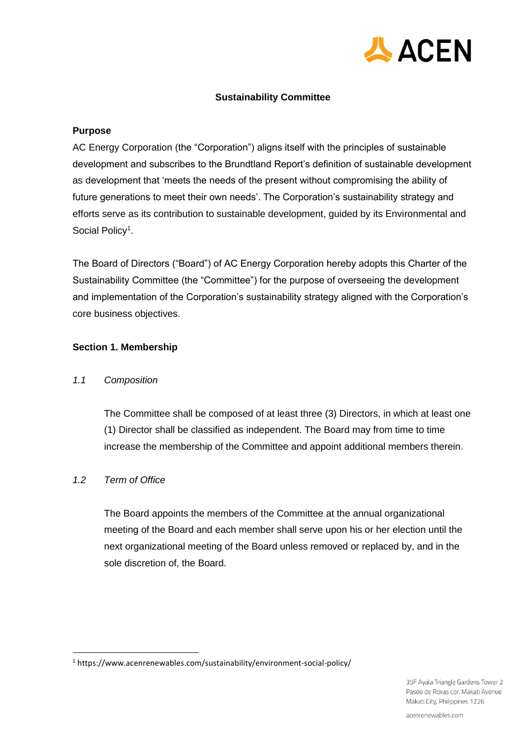

## **Sustainability Committee**

### **Purpose**

AC Energy Corporation (the "Corporation") aligns itself with the principles of sustainable development and subscribes to the Brundtland Report's definition of sustainable development as development that 'meets the needs of the present without compromising the ability of future generations to meet their own needs'. The Corporation's sustainability strategy and efforts serve as its contribution to sustainable development, guided by its Environmental and Social Policy<sup>1</sup>.

The Board of Directors ("Board") of AC Energy Corporation hereby adopts this Charter of the Sustainability Committee (the "Committee") for the purpose of overseeing the development and implementation of the Corporation's sustainability strategy aligned with the Corporation's core business objectives.

## **Section 1. Membership**

## *1.1 Composition*

The Committee shall be composed of at least three (3) Directors, in which at least one (1) Director shall be classified as independent. The Board may from time to time increase the membership of the Committee and appoint additional members therein.

## *1.2 Term of Office*

The Board appoints the members of the Committee at the annual organizational meeting of the Board and each member shall serve upon his or her election until the next organizational meeting of the Board unless removed or replaced by, and in the sole discretion of, the Board.

<sup>1</sup> https://www.acenrenewables.com/sustainability/environment-social-policy/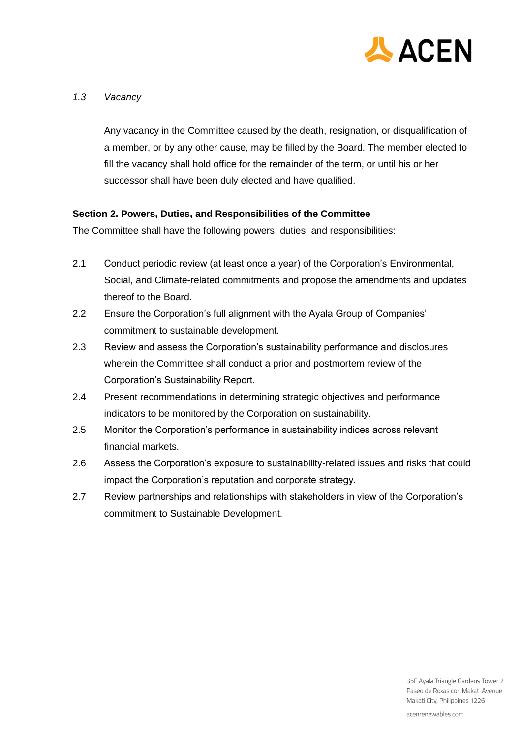

# *1.3 Vacancy*

Any vacancy in the Committee caused by the death, resignation, or disqualification of a member, or by any other cause, may be filled by the Board. The member elected to fill the vacancy shall hold office for the remainder of the term, or until his or her successor shall have been duly elected and have qualified.

# **Section 2. Powers, Duties, and Responsibilities of the Committee**

The Committee shall have the following powers, duties, and responsibilities:

- 2.1 Conduct periodic review (at least once a year) of the Corporation's Environmental, Social, and Climate-related commitments and propose the amendments and updates thereof to the Board.
- 2.2 Ensure the Corporation's full alignment with the Ayala Group of Companies' commitment to sustainable development.
- 2.3 Review and assess the Corporation's sustainability performance and disclosures wherein the Committee shall conduct a prior and postmortem review of the Corporation's Sustainability Report.
- 2.4 Present recommendations in determining strategic objectives and performance indicators to be monitored by the Corporation on sustainability.
- 2.5 Monitor the Corporation's performance in sustainability indices across relevant financial markets.
- 2.6 Assess the Corporation's exposure to sustainability-related issues and risks that could impact the Corporation's reputation and corporate strategy.
- 2.7 Review partnerships and relationships with stakeholders in view of the Corporation's commitment to Sustainable Development.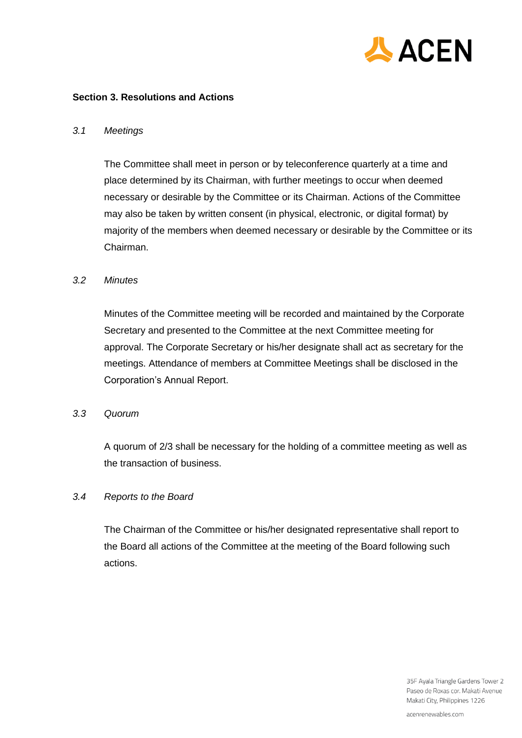

### **Section 3. Resolutions and Actions**

#### *3.1 Meetings*

The Committee shall meet in person or by teleconference quarterly at a time and place determined by its Chairman, with further meetings to occur when deemed necessary or desirable by the Committee or its Chairman. Actions of the Committee may also be taken by written consent (in physical, electronic, or digital format) by majority of the members when deemed necessary or desirable by the Committee or its Chairman.

#### *3.2 Minutes*

Minutes of the Committee meeting will be recorded and maintained by the Corporate Secretary and presented to the Committee at the next Committee meeting for approval. The Corporate Secretary or his/her designate shall act as secretary for the meetings. Attendance of members at Committee Meetings shall be disclosed in the Corporation's Annual Report.

#### *3.3 Quorum*

A quorum of 2/3 shall be necessary for the holding of a committee meeting as well as the transaction of business.

## *3.4 Reports to the Board*

The Chairman of the Committee or his/her designated representative shall report to the Board all actions of the Committee at the meeting of the Board following such actions.